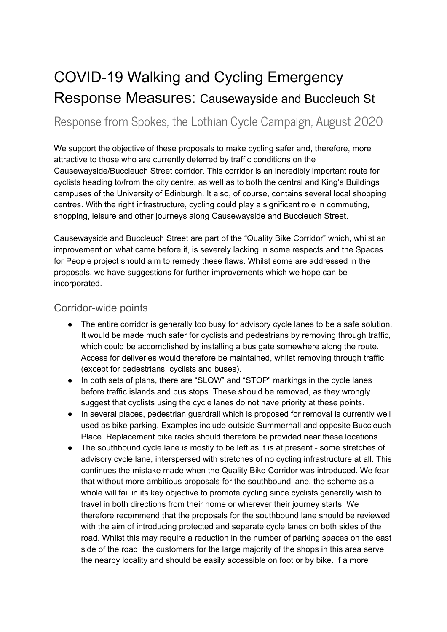# COVID-19 Walking and Cycling Emergency Response Measures: Causewayside and Buccleuch St

Response from Spokes, the Lothian Cycle Campaign, August 2020

We support the objective of these proposals to make cycling safer and, therefore, more attractive to those who are currently deterred by traffic conditions on the Causewayside/Buccleuch Street corridor. This corridor is an incredibly important route for cyclists heading to/from the city centre, as well as to both the central and King's Buildings campuses of the University of Edinburgh. It also, of course, contains several local shopping centres. With the right infrastructure, cycling could play a significant role in commuting, shopping, leisure and other journeys along Causewayside and Buccleuch Street.

Causewayside and Buccleuch Street are part of the "Quality Bike Corridor" which, whilst an improvement on what came before it, is severely lacking in some respects and the Spaces for People project should aim to remedy these flaws. Whilst some are addressed in the proposals, we have suggestions for further improvements which we hope can be incorporated.

## Corridor-wide points

- The entire corridor is generally too busy for advisory cycle lanes to be a safe solution. It would be made much safer for cyclists and pedestrians by removing through traffic, which could be accomplished by installing a bus gate somewhere along the route. Access for deliveries would therefore be maintained, whilst removing through traffic (except for pedestrians, cyclists and buses).
- In both sets of plans, there are "SLOW" and "STOP" markings in the cycle lanes before traffic islands and bus stops. These should be removed, as they wrongly suggest that cyclists using the cycle lanes do not have priority at these points.
- In several places, pedestrian guardrail which is proposed for removal is currently well used as bike parking. Examples include outside Summerhall and opposite Buccleuch Place. Replacement bike racks should therefore be provided near these locations.
- The southbound cycle lane is mostly to be left as it is at present some stretches of advisory cycle lane, interspersed with stretches of no cycling infrastructure at all. This continues the mistake made when the Quality Bike Corridor was introduced. We fear that without more ambitious proposals for the southbound lane, the scheme as a whole will fail in its key objective to promote cycling since cyclists generally wish to travel in both directions from their home or wherever their journey starts. We therefore recommend that the proposals for the southbound lane should be reviewed with the aim of introducing protected and separate cycle lanes on both sides of the road. Whilst this may require a reduction in the number of parking spaces on the east side of the road, the customers for the large majority of the shops in this area serve the nearby locality and should be easily accessible on foot or by bike. If a more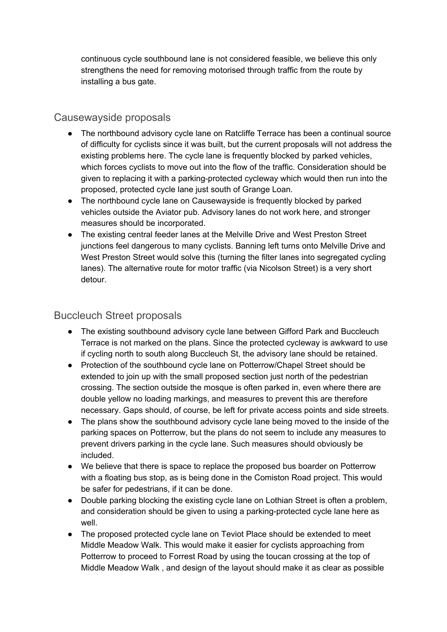continuous cycle southbound lane is not considered feasible, we believe this only strengthens the need for removing motorised through traffic from the route by installing a bus gate.

# Causewayside proposals

- The northbound advisory cycle lane on Ratcliffe Terrace has been a continual source of difficulty for cyclists since it was built, but the current proposals will not address the existing problems here. The cycle lane is frequently blocked by parked vehicles, which forces cyclists to move out into the flow of the traffic. Consideration should be given to replacing it with a parking-protected cycleway which would then run into the proposed, protected cycle lane just south of Grange Loan.
- The northbound cycle lane on Causewayside is frequently blocked by parked vehicles outside the Aviator pub. Advisory lanes do not work here, and stronger measures should be incorporated.
- The existing central feeder lanes at the Melville Drive and West Preston Street junctions feel dangerous to many cyclists. Banning left turns onto Melville Drive and West Preston Street would solve this (turning the filter lanes into segregated cycling lanes). The alternative route for motor traffic (via Nicolson Street) is a very short detour.

## Buccleuch Street proposals

- The existing southbound advisory cycle lane between Gifford Park and Buccleuch Terrace is not marked on the plans. Since the protected cycleway is awkward to use if cycling north to south along Buccleuch St, the advisory lane should be retained.
- Protection of the southbound cycle lane on Potterrow/Chapel Street should be extended to join up with the small proposed section just north of the pedestrian crossing. The section outside the mosque is often parked in, even where there are double yellow no loading markings, and measures to prevent this are therefore necessary. Gaps should, of course, be left for private access points and side streets.
- The plans show the southbound advisory cycle lane being moved to the inside of the parking spaces on Potterrow, but the plans do not seem to include any measures to prevent drivers parking in the cycle lane. Such measures should obviously be included.
- We believe that there is space to replace the proposed bus boarder on Potterrow with a floating bus stop, as is being done in the Comiston Road project. This would be safer for pedestrians, if it can be done.
- Double parking blocking the existing cycle lane on Lothian Street is often a problem, and consideration should be given to using a parking-protected cycle lane here as well.
- The proposed protected cycle lane on Teviot Place should be extended to meet Middle Meadow Walk. This would make it easier for cyclists approaching from Potterrow to proceed to Forrest Road by using the toucan crossing at the top of Middle Meadow Walk , and design of the layout should make it as clear as possible